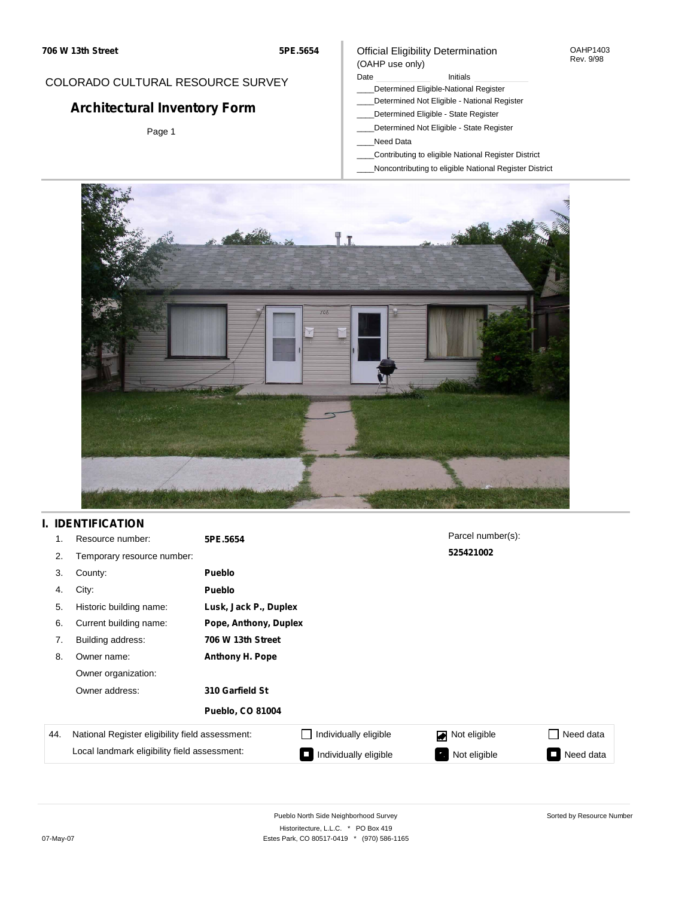#### OAHP1403 Rev. 9/98

## COLORADO CULTURAL RESOURCE SURVEY

# **Architectural Inventory Form**

Page 1

#### (OAHP use only) Date **Initials** Initials

Official Eligibility Determination

- \_\_\_\_Determined Eligible-National Register
- \_\_\_\_Determined Not Eligible National Register
- \_\_\_\_Determined Eligible State Register
- \_\_\_\_Determined Not Eligible State Register
- \_\_\_\_Need Data
- \_\_\_\_Contributing to eligible National Register District
- \_\_\_\_Noncontributing to eligible National Register District



# **I. IDENTIFICATION**

| 1.  | Resource number:                                | 5PE.5654                |                       | Parcel number(s): |                 |  |  |  |
|-----|-------------------------------------------------|-------------------------|-----------------------|-------------------|-----------------|--|--|--|
| 2.  | Temporary resource number:                      |                         |                       | 525421002         |                 |  |  |  |
| 3.  | County:                                         | Pueblo                  |                       |                   |                 |  |  |  |
| 4.  | City:                                           | Pueblo                  |                       |                   |                 |  |  |  |
| 5.  | Historic building name:                         |                         | Lusk, Jack P., Duplex |                   |                 |  |  |  |
| 6.  | Current building name:                          |                         | Pope, Anthony, Duplex |                   |                 |  |  |  |
| 7.  | Building address:                               | 706 W 13th Street       |                       |                   |                 |  |  |  |
| 8.  | Owner name:                                     | <b>Anthony H. Pope</b>  |                       |                   |                 |  |  |  |
|     | Owner organization:                             |                         |                       |                   |                 |  |  |  |
|     | Owner address:                                  | 310 Garfield St         |                       |                   |                 |  |  |  |
|     |                                                 | <b>Pueblo, CO 81004</b> |                       |                   |                 |  |  |  |
| 44. | National Register eligibility field assessment: |                         | Individually eligible | Not eligible      | □ Need data     |  |  |  |
|     | Local landmark eligibility field assessment:    |                         | Individually eligible | Not eligible      | Need data<br>I. |  |  |  |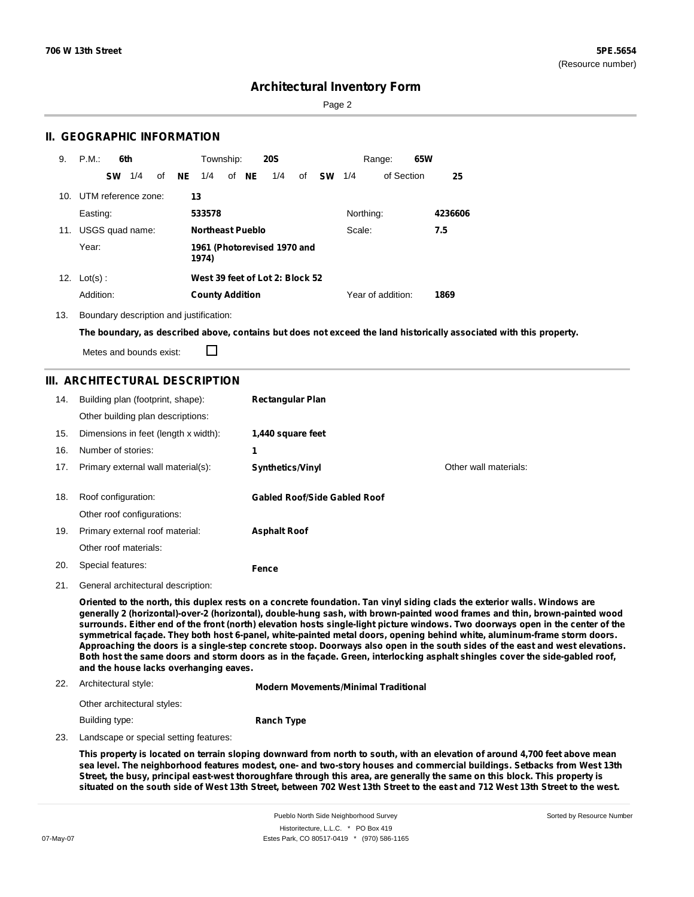Sorted by Resource Number

## **Architectural Inventory Form**

Page 2

### **II. GEOGRAPHIC INFORMATION**

| 9.              | P.M.                | 6th |    |     | Township:               |       | <b>20S</b>                      |    |           |           | Range:            | 65W |         |
|-----------------|---------------------|-----|----|-----|-------------------------|-------|---------------------------------|----|-----------|-----------|-------------------|-----|---------|
|                 | <b>SW</b>           | 1/4 | of | NE. | 1/4                     | of NE | 1/4                             | of | <b>SW</b> | 1/4       | of Section        |     | 25      |
| 10 <sub>1</sub> | UTM reference zone: |     |    | 13  |                         |       |                                 |    |           |           |                   |     |         |
|                 | Easting:            |     |    |     | 533578                  |       |                                 |    |           | Northing: |                   |     | 4236606 |
| 11.             | USGS quad name:     |     |    |     | <b>Northeast Pueblo</b> |       |                                 |    |           | Scale:    |                   |     | 7.5     |
|                 | Year:               |     |    |     | 1974)                   |       | 1961 (Photorevised 1970 and     |    |           |           |                   |     |         |
| 12.             | $Lot(s)$ :          |     |    |     |                         |       | West 39 feet of Lot 2: Block 52 |    |           |           |                   |     |         |
|                 | Addition:           |     |    |     | <b>County Addition</b>  |       |                                 |    |           |           | Year of addition: |     | 1869    |

13. Boundary description and justification:

The boundary, as described above, contains but does not exceed the land historically associated with this property.

П Metes and bounds exist:

### **III. ARCHITECTURAL DESCRIPTION**

| 14. | Building plan (footprint, shape):    | <b>Rectangular Plan</b>             |                       |
|-----|--------------------------------------|-------------------------------------|-----------------------|
|     | Other building plan descriptions:    |                                     |                       |
| 15. | Dimensions in feet (length x width): | 1,440 square feet                   |                       |
| 16. | Number of stories:                   | 1                                   |                       |
| 17. | Primary external wall material(s):   | <b>Synthetics/Vinyl</b>             | Other wall materials: |
|     |                                      |                                     |                       |
| 18. | Roof configuration:                  | <b>Gabled Roof/Side Gabled Roof</b> |                       |
|     | Other roof configurations:           |                                     |                       |
| 19. | Primary external roof material:      | <b>Asphalt Roof</b>                 |                       |
|     | Other roof materials:                |                                     |                       |
| 20. | Special features:                    | Fence                               |                       |
|     |                                      |                                     |                       |

21. General architectural description:

Oriented to the north, this duplex rests on a concrete foundation. Tan vinyl siding clads the exterior walls. Windows are **generally 2 (horizontal)-over-2 (horizontal), double-hung sash, with brown-painted wood frames and thin, brown-painted wood** surrounds. Either end of the front (north) elevation hosts single-light picture windows. Two doorways open in the center of the symmetrical façade. They both host 6-panel, white-painted metal doors, opening behind white, aluminum-frame storm doors. Approaching the doors is a single-step concrete stoop. Doorways also open in the south sides of the east and west elevations. Both host the same doors and storm doors as in the façade. Green, interlocking asphalt shingles cover the side-gabled roof, **and the house lacks overhanging eaves.**

#### 22. Architectural style:

**Modern Movements/Minimal Traditional**

| Other architectural styles: |                   |
|-----------------------------|-------------------|
| Building type:              | <b>Ranch Type</b> |

23. Landscape or special setting features:

This property is located on terrain sloping downward from north to south, with an elevation of around 4,700 feet above mean sea level. The neighborhood features modest, one- and two-story houses and commercial buildings. Setbacks from West 13th Street, the busy, principal east-west thoroughfare through this area, are generally the same on this block. This property is situated on the south side of West 13th Street, between 702 West 13th Street to the east and 712 West 13th Street to the west.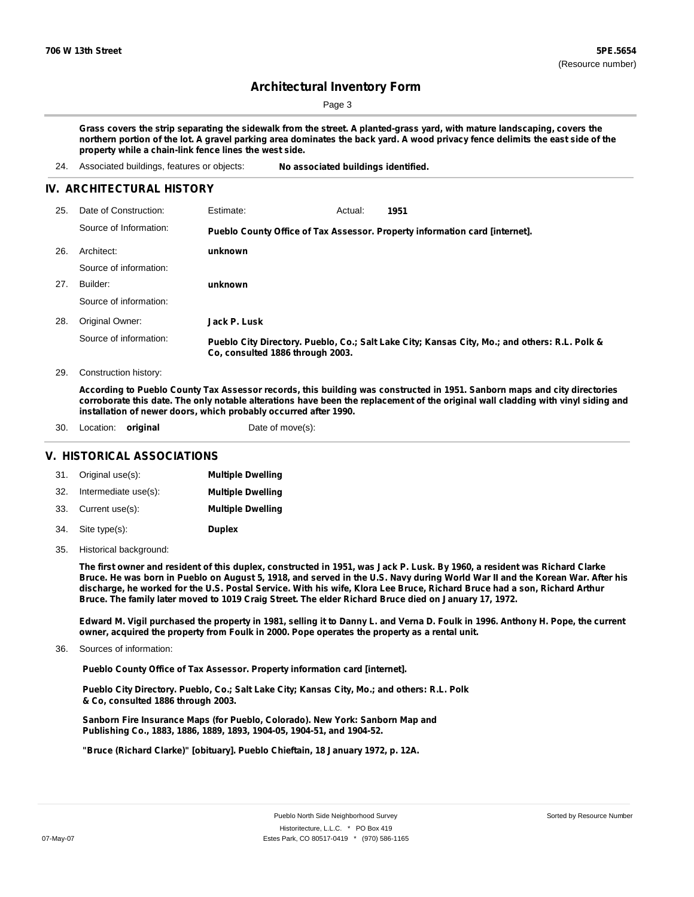Page 3

Grass covers the strip separating the sidewalk from the street. A planted-grass yard, with mature landscaping, covers the northern portion of the lot. A gravel parking area dominates the back yard. A wood privacy fence delimits the east side of the **property while a chain-link fence lines the west side.**

24. Associated buildings, features or objects: **No associated buildings identified.**

#### **IV. ARCHITECTURAL HISTORY**

| 25. | Date of Construction:  | Estimate:                        | Actual: | 1951                                                                                          |
|-----|------------------------|----------------------------------|---------|-----------------------------------------------------------------------------------------------|
|     | Source of Information: |                                  |         | Pueblo County Office of Tax Assessor. Property information card [internet].                   |
| 26. | Architect:             | unknown                          |         |                                                                                               |
|     | Source of information: |                                  |         |                                                                                               |
| 27. | Builder:               | unknown                          |         |                                                                                               |
|     | Source of information: |                                  |         |                                                                                               |
| 28. | Original Owner:        | Jack P. Lusk                     |         |                                                                                               |
|     | Source of information: | Co, consulted 1886 through 2003. |         | Pueblo City Directory. Pueblo, Co.; Salt Lake City; Kansas City, Mo.; and others: R.L. Polk & |

29. Construction history:

According to Pueblo County Tax Assessor records, this building was constructed in 1951. Sanborn maps and city directories corroborate this date. The only notable alterations have been the replacement of the original wall cladding with vinyl siding and **installation of newer doors, which probably occurred after 1990.**

30. Location: **original** Date of move(s):

#### **V. HISTORICAL ASSOCIATIONS**

|     | 31. Original use(s): | <b>Multiple Dwelling</b> |
|-----|----------------------|--------------------------|
| 32. | Intermediate use(s): | <b>Multiple Dwelling</b> |
|     | 33. Current use(s):  | <b>Multiple Dwelling</b> |
|     | 34. Site type(s):    | <b>Duplex</b>            |

35. Historical background:

The first owner and resident of this duplex, constructed in 1951, was Jack P. Lusk. By 1960, a resident was Richard Clarke Bruce. He was born in Pueblo on August 5, 1918, and served in the U.S. Navy during World War II and the Korean War. After his discharge, he worked for the U.S. Postal Service. With his wife, Klora Lee Bruce, Richard Bruce had a son, Richard Arthur Bruce. The family later moved to 1019 Craig Street. The elder Richard Bruce died on January 17, 1972.

Edward M. Vigil purchased the property in 1981, selling it to Danny L. and Verna D. Foulk in 1996. Anthony H. Pope, the current **owner, acquired the property from Foulk in 2000. Pope operates the property as a rental unit.**

Sources of information: 36.

**Pueblo County Office of Tax Assessor. Property information card [internet].**

**Pueblo City Directory. Pueblo, Co.; Salt Lake City; Kansas City, Mo.; and others: R.L. Polk & Co, consulted 1886 through 2003.**

**Sanborn Fire Insurance Maps (for Pueblo, Colorado). New York: Sanborn Map and Publishing Co., 1883, 1886, 1889, 1893, 1904-05, 1904-51, and 1904-52.**

**"Bruce (Richard Clarke)" [obituary]. Pueblo Chieftain, 18 January 1972, p. 12A.**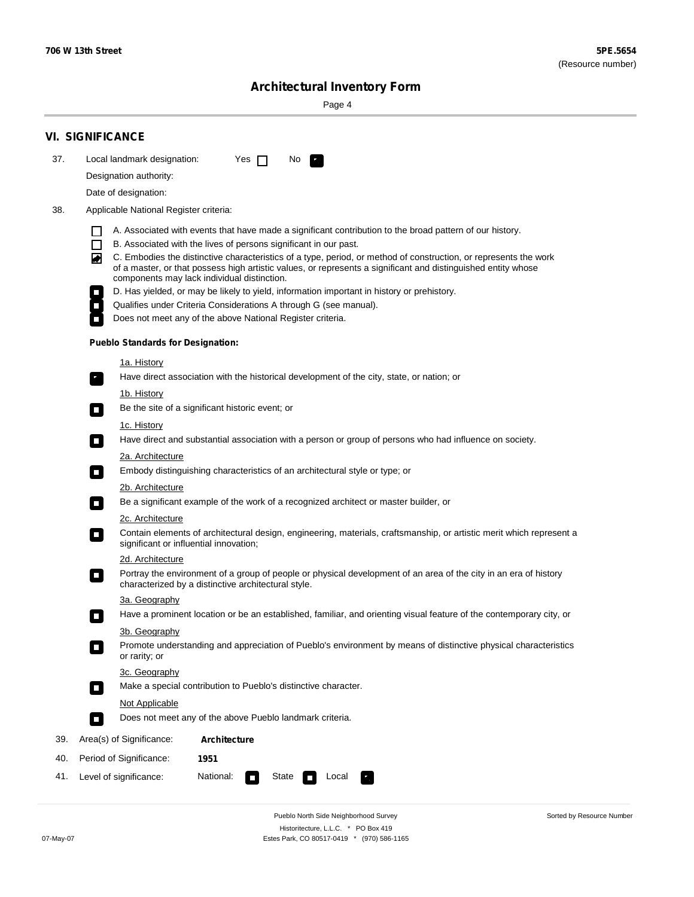Sorted by Resource Number

# **Architectural Inventory Form**

Page 4

|     | <b>VI. SIGNIFICANCE</b>                                                                                                                                                                                                                                                                                                                                                             |  |  |  |  |  |  |  |  |
|-----|-------------------------------------------------------------------------------------------------------------------------------------------------------------------------------------------------------------------------------------------------------------------------------------------------------------------------------------------------------------------------------------|--|--|--|--|--|--|--|--|
| 37. | Local landmark designation:<br>Yes $\Box$<br>No.                                                                                                                                                                                                                                                                                                                                    |  |  |  |  |  |  |  |  |
|     | Designation authority:                                                                                                                                                                                                                                                                                                                                                              |  |  |  |  |  |  |  |  |
|     | Date of designation:                                                                                                                                                                                                                                                                                                                                                                |  |  |  |  |  |  |  |  |
| 38. | Applicable National Register criteria:                                                                                                                                                                                                                                                                                                                                              |  |  |  |  |  |  |  |  |
|     | A. Associated with events that have made a significant contribution to the broad pattern of our history.<br>ΙI                                                                                                                                                                                                                                                                      |  |  |  |  |  |  |  |  |
|     | B. Associated with the lives of persons significant in our past.<br>$\Box$                                                                                                                                                                                                                                                                                                          |  |  |  |  |  |  |  |  |
|     | C. Embodies the distinctive characteristics of a type, period, or method of construction, or represents the work<br>◙<br>of a master, or that possess high artistic values, or represents a significant and distinguished entity whose<br>components may lack individual distinction.<br>D. Has yielded, or may be likely to yield, information important in history or prehistory. |  |  |  |  |  |  |  |  |
|     |                                                                                                                                                                                                                                                                                                                                                                                     |  |  |  |  |  |  |  |  |
|     | Qualifies under Criteria Considerations A through G (see manual).                                                                                                                                                                                                                                                                                                                   |  |  |  |  |  |  |  |  |
|     | Does not meet any of the above National Register criteria.                                                                                                                                                                                                                                                                                                                          |  |  |  |  |  |  |  |  |
|     | <b>Pueblo Standards for Designation:</b>                                                                                                                                                                                                                                                                                                                                            |  |  |  |  |  |  |  |  |
|     | <u>1a. History</u>                                                                                                                                                                                                                                                                                                                                                                  |  |  |  |  |  |  |  |  |
|     | Have direct association with the historical development of the city, state, or nation; or<br>$\mathbf{r}$                                                                                                                                                                                                                                                                           |  |  |  |  |  |  |  |  |
|     | <u>1b. History</u>                                                                                                                                                                                                                                                                                                                                                                  |  |  |  |  |  |  |  |  |
|     | Be the site of a significant historic event; or<br>$\mathcal{L}_{\mathcal{A}}$                                                                                                                                                                                                                                                                                                      |  |  |  |  |  |  |  |  |
|     | 1c. History                                                                                                                                                                                                                                                                                                                                                                         |  |  |  |  |  |  |  |  |
|     | Have direct and substantial association with a person or group of persons who had influence on society.<br>$\Box$                                                                                                                                                                                                                                                                   |  |  |  |  |  |  |  |  |
|     | 2a. Architecture                                                                                                                                                                                                                                                                                                                                                                    |  |  |  |  |  |  |  |  |
|     | Embody distinguishing characteristics of an architectural style or type; or<br>$\mathcal{L}_{\mathcal{A}}$                                                                                                                                                                                                                                                                          |  |  |  |  |  |  |  |  |
|     | 2b. Architecture                                                                                                                                                                                                                                                                                                                                                                    |  |  |  |  |  |  |  |  |
|     | Be a significant example of the work of a recognized architect or master builder, or<br>$\overline{\phantom{a}}$                                                                                                                                                                                                                                                                    |  |  |  |  |  |  |  |  |
|     | 2c. Architecture<br>Contain elements of architectural design, engineering, materials, craftsmanship, or artistic merit which represent a<br>$\mathcal{L}_{\rm{max}}$<br>significant or influential innovation;                                                                                                                                                                      |  |  |  |  |  |  |  |  |
|     | 2d. Architecture                                                                                                                                                                                                                                                                                                                                                                    |  |  |  |  |  |  |  |  |
|     | Portray the environment of a group of people or physical development of an area of the city in an era of history<br>$\mathcal{L}_{\mathcal{A}}$<br>characterized by a distinctive architectural style.                                                                                                                                                                              |  |  |  |  |  |  |  |  |
|     | 3a. Geography                                                                                                                                                                                                                                                                                                                                                                       |  |  |  |  |  |  |  |  |
|     | Have a prominent location or be an established, familiar, and orienting visual feature of the contemporary city, or<br>П                                                                                                                                                                                                                                                            |  |  |  |  |  |  |  |  |
|     | 3b. Geography                                                                                                                                                                                                                                                                                                                                                                       |  |  |  |  |  |  |  |  |
|     | Promote understanding and appreciation of Pueblo's environment by means of distinctive physical characteristics<br>п<br>or rarity; or                                                                                                                                                                                                                                               |  |  |  |  |  |  |  |  |
|     | 3c. Geography                                                                                                                                                                                                                                                                                                                                                                       |  |  |  |  |  |  |  |  |
|     | Make a special contribution to Pueblo's distinctive character.<br>$\Box$                                                                                                                                                                                                                                                                                                            |  |  |  |  |  |  |  |  |
|     | Not Applicable                                                                                                                                                                                                                                                                                                                                                                      |  |  |  |  |  |  |  |  |
|     | Does not meet any of the above Pueblo landmark criteria.<br>$\overline{\phantom{a}}$                                                                                                                                                                                                                                                                                                |  |  |  |  |  |  |  |  |
| 39. | Area(s) of Significance:<br><b>Architecture</b>                                                                                                                                                                                                                                                                                                                                     |  |  |  |  |  |  |  |  |
| 40. | Period of Significance:<br>1951                                                                                                                                                                                                                                                                                                                                                     |  |  |  |  |  |  |  |  |
| 41. | National:<br>Level of significance:<br>State<br>Local<br>т,<br>П                                                                                                                                                                                                                                                                                                                    |  |  |  |  |  |  |  |  |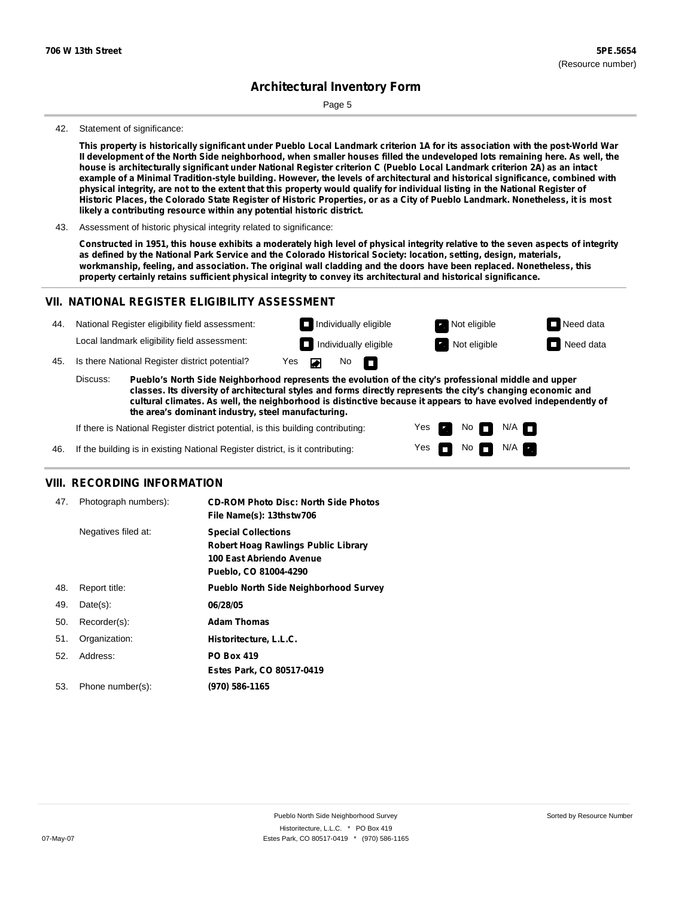Page 5

#### 42. Statement of significance:

This property is historically significant under Pueblo Local Landmark criterion 1A for its association with the post-World War Il development of the North Side neighborhood, when smaller houses filled the undeveloped lots remaining here. As well, the house is architecturally significant under National Register criterion C (Pueblo Local Landmark criterion 2A) as an intact example of a Minimal Tradition-style building. However, the levels of architectural and historical significance, combined with physical integrity, are not to the extent that this property would qualify for individual listing in the National Register of Historic Places, the Colorado State Register of Historic Properties, or as a City of Pueblo Landmark. Nonetheless, it is most **likely a contributing resource within any potential historic district.**

43. Assessment of historic physical integrity related to significance:

Constructed in 1951, this house exhibits a moderately high level of physical integrity relative to the seven aspects of integrity as defined by the National Park Service and the Colorado Historical Society: location, setting, design, materials, workmanship, feeling, and association. The original wall cladding and the doors have been replaced. Nonetheless, this **property certainly retains sufficient physical integrity to convey its architectural and historical significance.**

### **VII. NATIONAL REGISTER ELIGIBILITY ASSESSMENT**



**classes. Its diversity of architectural styles and forms directly represents the city's changing economic and cultural climates. As well, the neighborhood is distinctive because it appears to have evolved independently of the area's dominant industry, steel manufacturing.**

> Yes Yes

Non<sub>d</sub> N/A No  $\blacksquare$  N/A  $\blacksquare$ 

If there is National Register district potential, is this building contributing:

If the building is in existing National Register district, is it contributing: 46.

#### **VIII. RECORDING INFORMATION**

| 47. | Photograph numbers): | <b>CD-ROM Photo Disc: North Side Photos</b><br>File Name(s): 13thstw706                                                       |
|-----|----------------------|-------------------------------------------------------------------------------------------------------------------------------|
|     | Negatives filed at:  | <b>Special Collections</b><br><b>Robert Hoag Rawlings Public Library</b><br>100 East Abriendo Avenue<br>Pueblo, CO 81004-4290 |
| 48. | Report title:        | <b>Pueblo North Side Neighborhood Survey</b>                                                                                  |
| 49. | $Date(s)$ :          | 06/28/05                                                                                                                      |
| 50. | Recorder(s):         | <b>Adam Thomas</b>                                                                                                            |
| 51. | Organization:        | Historitecture, L.L.C.                                                                                                        |
| 52. | Address:             | <b>PO Box 419</b>                                                                                                             |
|     |                      | Estes Park, CO 80517-0419                                                                                                     |
| 53. | Phone number(s):     | (970) 586-1165                                                                                                                |
|     |                      |                                                                                                                               |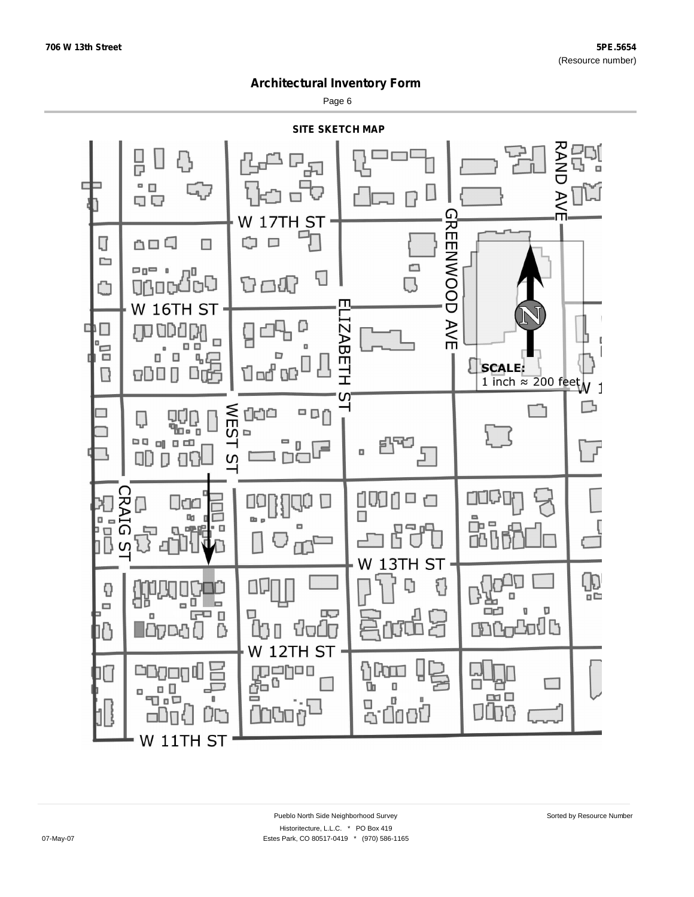Page 6